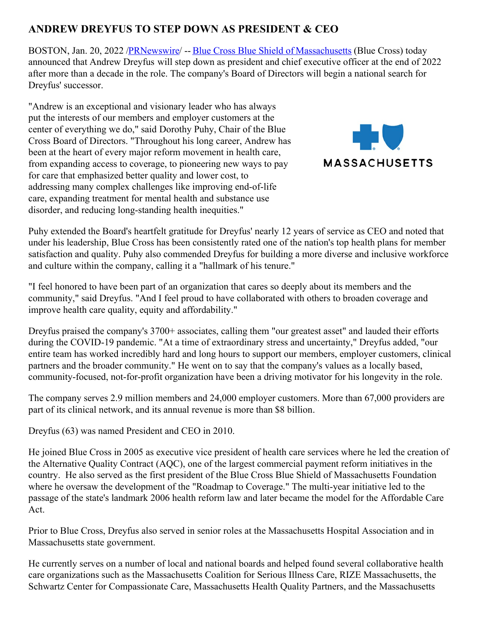## **ANDREW DREYFUS TO STEP DOWN AS PRESIDENT & CEO**

BOSTON, Jan. 20, 2022 [/PRNewswire](http://www.prnewswire.com/)/ -- Blue Cross Blue Shield of [Massachusetts](https://c212.net/c/link/?t=0&l=en&o=3419586-1&h=173243636&u=http%3A%2F%2Fwww.bluecrossma.com%2F%3Ffrom%3DBWHomeHeaderBanner&a=Blue+Cross+Blue+Shield+of+Massachusetts) (Blue Cross) today announced that Andrew Dreyfus will step down as president and chief executive officer at the end of 2022 after more than a decade in the role. The company's Board of Directors will begin a national search for Dreyfus' successor.

"Andrew is an exceptional and visionary leader who has always put the interests of our members and employer customers at the center of everything we do," said Dorothy Puhy, Chair of the Blue Cross Board of Directors. "Throughout his long career, Andrew has been at the heart of every major reform movement in health care, from expanding access to coverage, to pioneering new ways to pay for care that emphasized better quality and lower cost, to addressing many complex challenges like improving end-of-life care, expanding treatment for mental health and substance use disorder, and reducing long-standing health inequities."



Puhy extended the Board's heartfelt gratitude for Dreyfus' nearly 12 years of service as CEO and noted that under his leadership, Blue Cross has been consistently rated one of the nation's top health plans for member satisfaction and quality. Puhy also commended Dreyfus for building a more diverse and inclusive workforce and culture within the company, calling it a "hallmark of his tenure."

"I feel honored to have been part of an organization that cares so deeply about its members and the community," said Dreyfus. "And I feel proud to have collaborated with others to broaden coverage and improve health care quality, equity and affordability."

Dreyfus praised the company's 3700+ associates, calling them "our greatest asset" and lauded their efforts during the COVID-19 pandemic. "At a time of extraordinary stress and uncertainty," Dreyfus added, "our entire team has worked incredibly hard and long hours to support our members, employer customers, clinical partners and the broader community." He went on to say that the company's values as a locally based, community-focused, not-for-profit organization have been a driving motivator for his longevity in the role.

The company serves 2.9 million members and 24,000 employer customers. More than 67,000 providers are part of its clinical network, and its annual revenue is more than \$8 billion.

Dreyfus (63) was named President and CEO in 2010.

He joined Blue Cross in 2005 as executive vice president of health care services where he led the creation of the Alternative Quality Contract (AQC), one of the largest commercial payment reform initiatives in the country. He also served as the first president of the Blue Cross Blue Shield of Massachusetts Foundation where he oversaw the development of the "Roadmap to Coverage." The multi-year initiative led to the passage of the state's landmark 2006 health reform law and later became the model for the Affordable Care Act.

Prior to Blue Cross, Dreyfus also served in senior roles at the Massachusetts Hospital Association and in Massachusetts state government.

He currently serves on a number of local and national boards and helped found several collaborative health care organizations such as the Massachusetts Coalition for Serious Illness Care, RIZE Massachusetts, the Schwartz Center for Compassionate Care, Massachusetts Health Quality Partners, and the Massachusetts